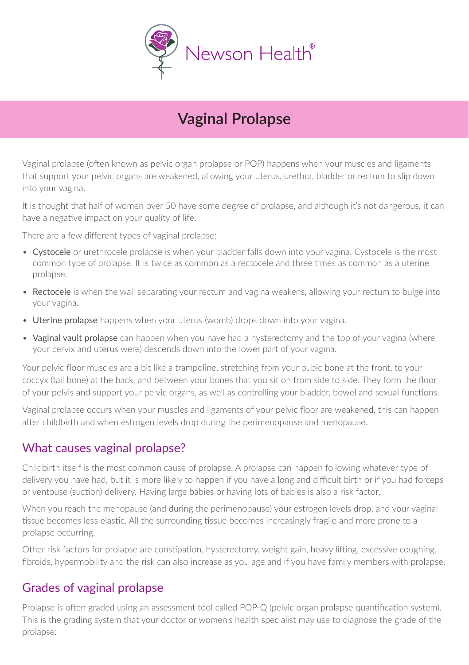

# **Vaginal Prolapse**

Vaginal prolapse (often known as pelvic organ prolapse or POP) happens when your muscles and ligaments that support your pelvic organs are weakened, allowing your uterus, urethra, bladder or rectum to slip down into your vagina.

It is thought that half of women over 50 have some degree of prolapse, and although it's not dangerous, it can have a negative impact on your quality of life.

There are a few different types of vaginal prolapse:

- Cystocele or urethrocele prolapse is when your bladder falls down into your vagina. Cystocele is the most common type of prolapse. It is twice as common as a rectocele and three times as common as a uterine prolapse.
- Rectocele is when the wall separating your rectum and vagina weakens, allowing your rectum to bulge into your vagina.
- Uterine prolapse happens when your uterus (womb) drops down into your vagina.
- Vaginal vault prolapse can happen when you have had a hysterectomy and the top of your vagina (where your cervix and uterus were) descends down into the lower part of your vagina.

Your pelvic floor muscles are a bit like a trampoline, stretching from your pubic bone at the front, to your coccyx (tail bone) at the back, and between your bones that you sit on from side to side. They form the floor of your pelvis and support your pelvic organs, as well as controlling your bladder, bowel and sexual functions.

Vaginal prolapse occurs when your muscles and ligaments of your pelvic floor are weakened, this can happen after childbirth and when estrogen levels drop during the perimenopause and menopause.

### What causes vaginal prolapse?

Childbirth itself is the most common cause of prolapse. A prolapse can happen following whatever type of delivery you have had, but it is more likely to happen if you have a long and difficult birth or if you had forceps or ventouse (suction) delivery. Having large babies or having lots of babies is also a risk factor.

When you reach the menopause (and during the perimenopause) your estrogen levels drop, and your vaginal tissue becomes less elastic. All the surrounding tissue becomes increasingly fragile and more prone to a prolapse occurring.

Other risk factors for prolapse are constipation, hysterectomy, weight gain, heavy lifting, excessive coughing, fibroids, hypermobility and the risk can also increase as you age and if you have family members with prolapse.

### Grades of vaginal prolapse

Prolapse is often graded using an assessment tool called POP-Q (pelvic organ prolapse quantification system). This is the grading system that your doctor or women's health specialist may use to diagnose the grade of the prolapse: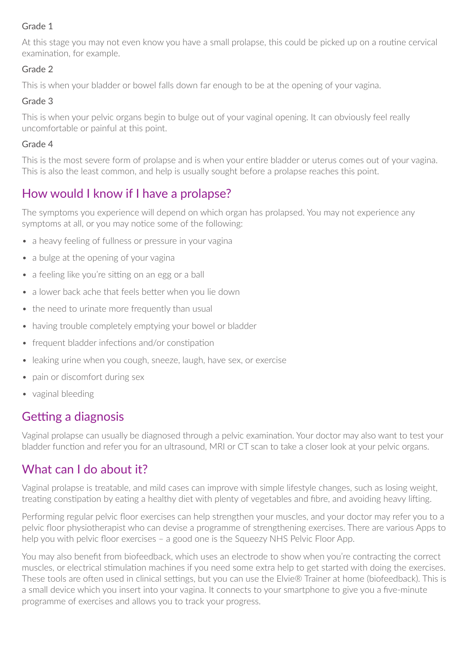#### Grade 1

At this stage you may not even know you have a small prolapse, this could be picked up on a routine cervical examination, for example.

#### Grade 2

This is when your bladder or bowel falls down far enough to be at the opening of your vagina.

#### Grade 3

This is when your pelvic organs begin to bulge out of your vaginal opening. It can obviously feel really uncomfortable or painful at this point.

#### Grade 4

This is the most severe form of prolapse and is when your entire bladder or uterus comes out of your vagina. This is also the least common, and help is usually sought before a prolapse reaches this point.

### How would I know if I have a prolapse?

The symptoms you experience will depend on which organ has prolapsed. You may not experience any symptoms at all, or you may notice some of the following:

- a heavy feeling of fullness or pressure in your vagina
- a bulge at the opening of your vagina
- a feeling like you're sitting on an egg or a ball
- a lower back ache that feels better when you lie down
- the need to urinate more frequently than usual
- having trouble completely emptying your bowel or bladder
- frequent bladder infections and/or constipation
- leaking urine when you cough, sneeze, laugh, have sex, or exercise
- pain or discomfort during sex
- vaginal bleeding

### Getting a diagnosis

Vaginal prolapse can usually be diagnosed through a pelvic examination. Your doctor may also want to test your bladder function and refer you for an ultrasound, MRI or CT scan to take a closer look at your pelvic organs.

### What can I do about it?

Vaginal prolapse is treatable, and mild cases can improve with simple lifestyle changes, such as losing weight, treating constipation by eating a healthy diet with plenty of vegetables and fibre, and avoiding heavy lifting.

Performing regular pelvic floor exercises can help strengthen your muscles, and your doctor may refer you to a pelvic floor physiotherapist who can devise a programme of strengthening exercises. There are various Apps to help you with pelvic floor exercises – a good one is the Squeezy NHS Pelvic Floor App.

You may also benefit from biofeedback, which uses an electrode to show when you're contracting the correct muscles, or electrical stimulation machines if you need some extra help to get started with doing the exercises. These tools are often used in clinical settings, but you can use the Elvie® Trainer at home (biofeedback). This is a small device which you insert into your vagina. It connects to your smartphone to give you a five-minute programme of exercises and allows you to track your progress.